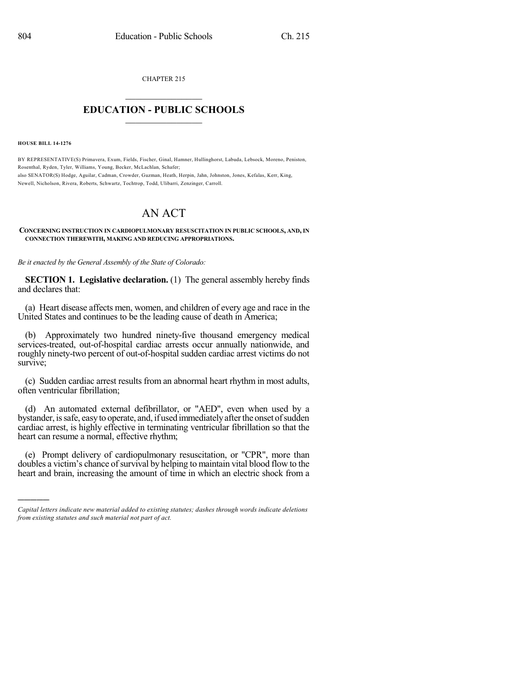CHAPTER 215  $\mathcal{L}_\text{max}$  . The set of the set of the set of the set of the set of the set of the set of the set of the set of the set of the set of the set of the set of the set of the set of the set of the set of the set of the set

## **EDUCATION - PUBLIC SCHOOLS**  $\_$   $\_$   $\_$   $\_$   $\_$   $\_$   $\_$   $\_$   $\_$

**HOUSE BILL 14-1276**

)))))

BY REPRESENTATIVE(S) Primavera, Exum, Fields, Fischer, Ginal, Hamner, Hullinghorst, Labuda, Lebsock, Moreno, Peniston, Rosenthal, Ryden, Tyler, Williams, Young, Becker, McLachlan, Schafer; also SENATOR(S) Hodge, Aguilar, Cadman, Crowder, Guzman, Heath, Herpin, Jahn, Johnston, Jones, Kefalas, Kerr, King, Newell, Nicholson, Rivera, Roberts, Schwartz, Tochtrop, Todd, Ulibarri, Zenzinger, Carroll.

## AN ACT

## **CONCERNING INSTRUCTION IN CARDIOPULMONARY RESUSCITATION IN PUBLIC SCHOOLS, AND, IN CONNECTION THEREWITH, MAKING AND REDUCING APPROPRIATIONS.**

*Be it enacted by the General Assembly of the State of Colorado:*

**SECTION 1. Legislative declaration.** (1) The general assembly hereby finds and declares that:

(a) Heart disease affects men, women, and children of every age and race in the United States and continues to be the leading cause of death in America;

(b) Approximately two hundred ninety-five thousand emergency medical services-treated, out-of-hospital cardiac arrests occur annually nationwide, and roughly ninety-two percent of out-of-hospital sudden cardiac arrest victims do not survive;

(c) Sudden cardiac arrest results from an abnormal heart rhythm in most adults, often ventricular fibrillation;

(d) An automated external defibrillator, or "AED", even when used by a bystander, is safe, easy to operate, and, if used immediately after the onset of sudden cardiac arrest, is highly effective in terminating ventricular fibrillation so that the heart can resume a normal, effective rhythm;

(e) Prompt delivery of cardiopulmonary resuscitation, or "CPR", more than doubles a victim's chance of survival by helping to maintain vital blood flow to the heart and brain, increasing the amount of time in which an electric shock from a

*Capital letters indicate new material added to existing statutes; dashes through words indicate deletions from existing statutes and such material not part of act.*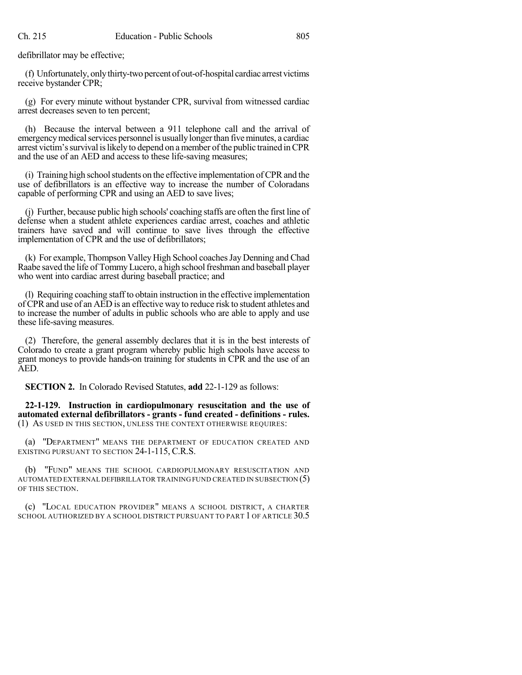defibrillator may be effective;

(f) Unfortunately, onlythirty-two percent of out-of-hospital cardiac arrest victims receive bystander CPR;

(g) For every minute without bystander CPR, survival from witnessed cardiac arrest decreases seven to ten percent;

(h) Because the interval between a 911 telephone call and the arrival of emergency medical services personnel is usually longer than five minutes, a cardiac arrest victim'ssurvival islikely to depend on amember ofthe public trained inCPR and the use of an AED and access to these life-saving measures;

 $(i)$  Training high school students on the effective implementation of CPR and the use of defibrillators is an effective way to increase the number of Coloradans capable of performing CPR and using an AED to save lives;

(j) Further, because public high schools' coaching staffs are often the first line of defense when a student athlete experiences cardiac arrest, coaches and athletic trainers have saved and will continue to save lives through the effective implementation of CPR and the use of defibrillators;

(k) For example, Thompson Valley High School coachesJay Denning and Chad Raabe saved the life of Tommy Lucero, a high school freshman and baseball player who went into cardiac arrest during baseball practice; and

(l) Requiring coaching staff to obtain instruction in the effective implementation of CPRand use of an AED is an effective way to reduce risk to student athletes and to increase the number of adults in public schools who are able to apply and use these life-saving measures.

(2) Therefore, the general assembly declares that it is in the best interests of Colorado to create a grant program whereby public high schools have access to grant moneys to provide hands-on training for students in CPR and the use of an AED.

**SECTION 2.** In Colorado Revised Statutes, **add** 22-1-129 as follows:

**22-1-129. Instruction in cardiopulmonary resuscitation and the use of automated external defibrillators - grants - fund created - definitions - rules.** (1) AS USED IN THIS SECTION, UNLESS THE CONTEXT OTHERWISE REQUIRES:

(a) "DEPARTMENT" MEANS THE DEPARTMENT OF EDUCATION CREATED AND EXISTING PURSUANT TO SECTION 24-1-115, C.R.S.

(b) "FUND" MEANS THE SCHOOL CARDIOPULMONARY RESUSCITATION AND AUTOMATED EXTERNAL DEFIBRILLATOR TRAINING FUND CREATED IN SUBSECTION (5) OF THIS SECTION.

(c) "LOCAL EDUCATION PROVIDER" MEANS A SCHOOL DISTRICT, A CHARTER SCHOOL AUTHORIZED BY A SCHOOL DISTRICT PURSUANT TO PART 1 OF ARTICLE 30.5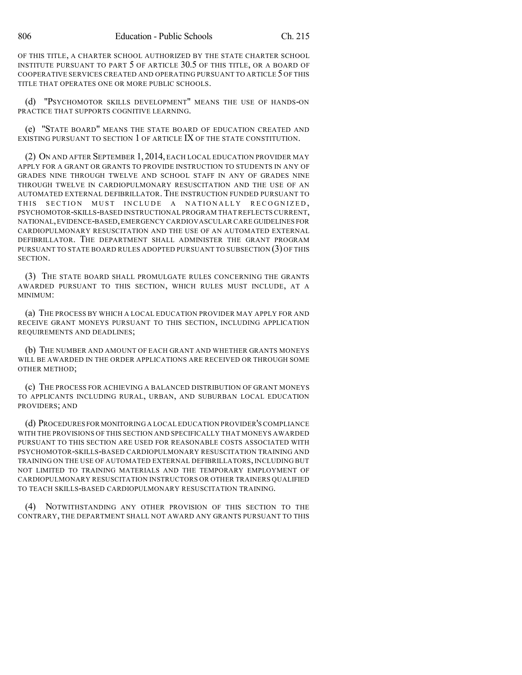OF THIS TITLE, A CHARTER SCHOOL AUTHORIZED BY THE STATE CHARTER SCHOOL INSTITUTE PURSUANT TO PART 5 OF ARTICLE 30.5 OF THIS TITLE, OR A BOARD OF COOPERATIVE SERVICES CREATED AND OPERATING PURSUANT TO ARTICLE 5 OF THIS TITLE THAT OPERATES ONE OR MORE PUBLIC SCHOOLS.

(d) "PSYCHOMOTOR SKILLS DEVELOPMENT" MEANS THE USE OF HANDS-ON PRACTICE THAT SUPPORTS COGNITIVE LEARNING.

(e) "STATE BOARD" MEANS THE STATE BOARD OF EDUCATION CREATED AND EXISTING PURSUANT TO SECTION 1 OF ARTICLE IX OF THE STATE CONSTITUTION.

(2) ON AND AFTER SEPTEMBER 1, 2014, EACH LOCAL EDUCATION PROVIDER MAY APPLY FOR A GRANT OR GRANTS TO PROVIDE INSTRUCTION TO STUDENTS IN ANY OF GRADES NINE THROUGH TWELVE AND SCHOOL STAFF IN ANY OF GRADES NINE THROUGH TWELVE IN CARDIOPULMONARY RESUSCITATION AND THE USE OF AN AUTOMATED EXTERNAL DEFIBRILLATOR. THE INSTRUCTION FUNDED PURSUANT TO THIS SECTION MUST INCLUDE A NATIONALLY RECOGNIZED, PSYCHOMOTOR-SKILLS-BASED INSTRUCTIONAL PROGRAM THATREFLECTS CURRENT, NATIONAL,EVIDENCE-BASED,EMERGENCY CARDIOVASCULAR CARE GUIDELINES FOR CARDIOPULMONARY RESUSCITATION AND THE USE OF AN AUTOMATED EXTERNAL DEFIBRILLATOR. THE DEPARTMENT SHALL ADMINISTER THE GRANT PROGRAM PURSUANT TO STATE BOARD RULES ADOPTED PURSUANT TO SUBSECTION (3) OF THIS SECTION.

(3) THE STATE BOARD SHALL PROMULGATE RULES CONCERNING THE GRANTS AWARDED PURSUANT TO THIS SECTION, WHICH RULES MUST INCLUDE, AT A MINIMUM:

(a) THE PROCESS BY WHICH A LOCAL EDUCATION PROVIDER MAY APPLY FOR AND RECEIVE GRANT MONEYS PURSUANT TO THIS SECTION, INCLUDING APPLICATION REQUIREMENTS AND DEADLINES;

(b) THE NUMBER AND AMOUNT OF EACH GRANT AND WHETHER GRANTS MONEYS WILL BE AWARDED IN THE ORDER APPLICATIONS ARE RECEIVED OR THROUGH SOME OTHER METHOD;

(c) THE PROCESS FOR ACHIEVING A BALANCED DISTRIBUTION OF GRANT MONEYS TO APPLICANTS INCLUDING RURAL, URBAN, AND SUBURBAN LOCAL EDUCATION PROVIDERS; AND

(d) PROCEDURES FOR MONITORING A LOCAL EDUCATION PROVIDER'S COMPLIANCE WITH THE PROVISIONS OF THIS SECTION AND SPECIFICALLY THAT MONEYS AWARDED PURSUANT TO THIS SECTION ARE USED FOR REASONABLE COSTS ASSOCIATED WITH PSYCHOMOTOR-SKILLS-BASED CARDIOPULMONARY RESUSCITATION TRAINING AND TRAINING ON THE USE OF AUTOMATED EXTERNAL DEFIBRILLATORS, INCLUDING BUT NOT LIMITED TO TRAINING MATERIALS AND THE TEMPORARY EMPLOYMENT OF CARDIOPULMONARY RESUSCITATION INSTRUCTORS OR OTHER TRAINERS QUALIFIED TO TEACH SKILLS-BASED CARDIOPULMONARY RESUSCITATION TRAINING.

(4) NOTWITHSTANDING ANY OTHER PROVISION OF THIS SECTION TO THE CONTRARY, THE DEPARTMENT SHALL NOT AWARD ANY GRANTS PURSUANT TO THIS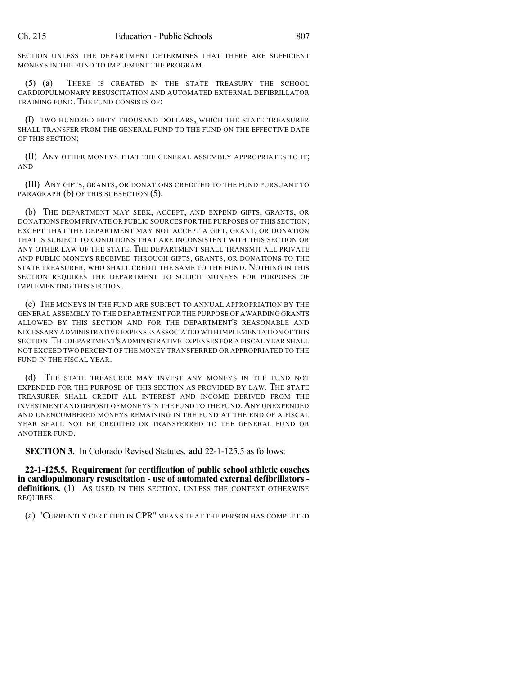SECTION UNLESS THE DEPARTMENT DETERMINES THAT THERE ARE SUFFICIENT MONEYS IN THE FUND TO IMPLEMENT THE PROGRAM.

(5) (a) THERE IS CREATED IN THE STATE TREASURY THE SCHOOL CARDIOPULMONARY RESUSCITATION AND AUTOMATED EXTERNAL DEFIBRILLATOR TRAINING FUND. THE FUND CONSISTS OF:

(I) TWO HUNDRED FIFTY THOUSAND DOLLARS, WHICH THE STATE TREASURER SHALL TRANSFER FROM THE GENERAL FUND TO THE FUND ON THE EFFECTIVE DATE OF THIS SECTION;

(II) ANY OTHER MONEYS THAT THE GENERAL ASSEMBLY APPROPRIATES TO IT; AND

(III) ANY GIFTS, GRANTS, OR DONATIONS CREDITED TO THE FUND PURSUANT TO PARAGRAPH (b) OF THIS SUBSECTION (5).

(b) THE DEPARTMENT MAY SEEK, ACCEPT, AND EXPEND GIFTS, GRANTS, OR DONATIONS FROM PRIVATE OR PUBLIC SOURCES FOR THE PURPOSES OF THIS SECTION; EXCEPT THAT THE DEPARTMENT MAY NOT ACCEPT A GIFT, GRANT, OR DONATION THAT IS SUBJECT TO CONDITIONS THAT ARE INCONSISTENT WITH THIS SECTION OR ANY OTHER LAW OF THE STATE. THE DEPARTMENT SHALL TRANSMIT ALL PRIVATE AND PUBLIC MONEYS RECEIVED THROUGH GIFTS, GRANTS, OR DONATIONS TO THE STATE TREASURER, WHO SHALL CREDIT THE SAME TO THE FUND. NOTHING IN THIS SECTION REQUIRES THE DEPARTMENT TO SOLICIT MONEYS FOR PURPOSES OF IMPLEMENTING THIS SECTION.

(c) THE MONEYS IN THE FUND ARE SUBJECT TO ANNUAL APPROPRIATION BY THE GENERAL ASSEMBLY TO THE DEPARTMENT FOR THE PURPOSE OF AWARDING GRANTS ALLOWED BY THIS SECTION AND FOR THE DEPARTMENT'S REASONABLE AND NECESSARY ADMINISTRATIVE EXPENSES ASSOCIATED WITH IMPLEMENTATION OFTHIS SECTION.THE DEPARTMENT'S ADMINISTRATIVE EXPENSES FOR A FISCAL YEAR SHALL NOT EXCEED TWO PERCENT OF THE MONEY TRANSFERRED OR APPROPRIATED TO THE FUND IN THE FISCAL YEAR.

(d) THE STATE TREASURER MAY INVEST ANY MONEYS IN THE FUND NOT EXPENDED FOR THE PURPOSE OF THIS SECTION AS PROVIDED BY LAW. THE STATE TREASURER SHALL CREDIT ALL INTEREST AND INCOME DERIVED FROM THE INVESTMENT AND DEPOSIT OF MONEYS IN THE FUND TO THE FUND.ANY UNEXPENDED AND UNENCUMBERED MONEYS REMAINING IN THE FUND AT THE END OF A FISCAL YEAR SHALL NOT BE CREDITED OR TRANSFERRED TO THE GENERAL FUND OR ANOTHER FUND.

**SECTION 3.** In Colorado Revised Statutes, **add** 22-1-125.5 as follows:

**22-1-125.5. Requirement for certification of public school athletic coaches in cardiopulmonary resuscitation - use of automated external defibrillators**  definitions. (1) As USED IN THIS SECTION, UNLESS THE CONTEXT OTHERWISE REQUIRES:

(a) "CURRENTLY CERTIFIED IN CPR" MEANS THAT THE PERSON HAS COMPLETED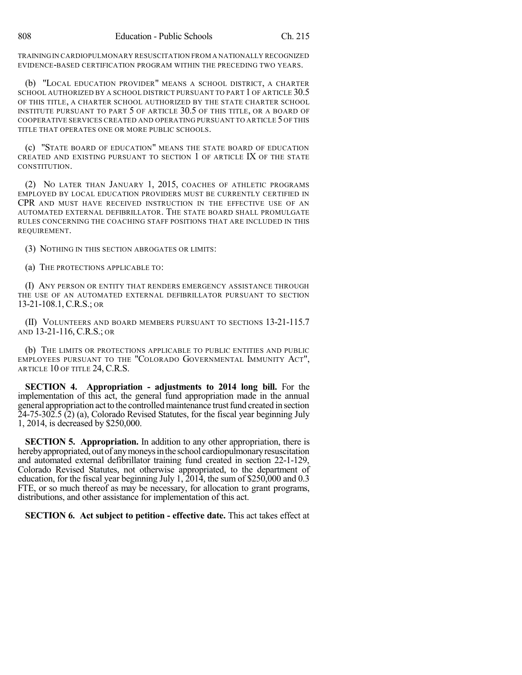TRAININGIN CARDIOPULMONARY RESUSCITATION FROM A NATIONALLY RECOGNIZED EVIDENCE-BASED CERTIFICATION PROGRAM WITHIN THE PRECEDING TWO YEARS.

(b) "LOCAL EDUCATION PROVIDER" MEANS A SCHOOL DISTRICT, A CHARTER SCHOOL AUTHORIZED BY A SCHOOL DISTRICT PURSUANT TO PART 1 OF ARTICLE 30.5 OF THIS TITLE, A CHARTER SCHOOL AUTHORIZED BY THE STATE CHARTER SCHOOL INSTITUTE PURSUANT TO PART 5 OF ARTICLE 30.5 OF THIS TITLE, OR A BOARD OF COOPERATIVE SERVICES CREATED AND OPERATING PURSUANT TO ARTICLE 5 OF THIS TITLE THAT OPERATES ONE OR MORE PUBLIC SCHOOLS.

(c) "STATE BOARD OF EDUCATION" MEANS THE STATE BOARD OF EDUCATION CREATED AND EXISTING PURSUANT TO SECTION 1 OF ARTICLE IX OF THE STATE CONSTITUTION.

(2) NO LATER THAN JANUARY 1, 2015, COACHES OF ATHLETIC PROGRAMS EMPLOYED BY LOCAL EDUCATION PROVIDERS MUST BE CURRENTLY CERTIFIED IN CPR AND MUST HAVE RECEIVED INSTRUCTION IN THE EFFECTIVE USE OF AN AUTOMATED EXTERNAL DEFIBRILLATOR. THE STATE BOARD SHALL PROMULGATE RULES CONCERNING THE COACHING STAFF POSITIONS THAT ARE INCLUDED IN THIS REQUIREMENT.

(3) NOTHING IN THIS SECTION ABROGATES OR LIMITS:

(a) THE PROTECTIONS APPLICABLE TO:

(I) ANY PERSON OR ENTITY THAT RENDERS EMERGENCY ASSISTANCE THROUGH THE USE OF AN AUTOMATED EXTERNAL DEFIBRILLATOR PURSUANT TO SECTION 13-21-108.1, C.R.S.; OR

(II) VOLUNTEERS AND BOARD MEMBERS PURSUANT TO SECTIONS 13-21-115.7 AND 13-21-116, C.R.S.; OR

(b) THE LIMITS OR PROTECTIONS APPLICABLE TO PUBLIC ENTITIES AND PUBLIC EMPLOYEES PURSUANT TO THE "COLORADO GOVERNMENTAL IMMUNITY ACT", ARTICLE 10 OF TITLE 24, C.R.S.

**SECTION 4. Appropriation - adjustments to 2014 long bill.** For the implementation of this act, the general fund appropriation made in the annual general appropriation act to the controlled maintenance trust fund created in section 24-75-302.5 (2) (a), Colorado Revised Statutes, for the fiscal year beginning July 1, 2014, is decreased by \$250,000.

**SECTION 5. Appropriation.** In addition to any other appropriation, there is hereby appropriated, out of any moneys in the school cardiopulmonary resuscitation and automated external defibrillator training fund created in section 22-1-129, Colorado Revised Statutes, not otherwise appropriated, to the department of education, for the fiscal year beginning July  $1, 2014$ , the sum of \$250,000 and 0.3 FTE, or so much thereof as may be necessary, for allocation to grant programs, distributions, and other assistance for implementation of this act.

**SECTION 6. Act subject to petition - effective date.** This act takes effect at